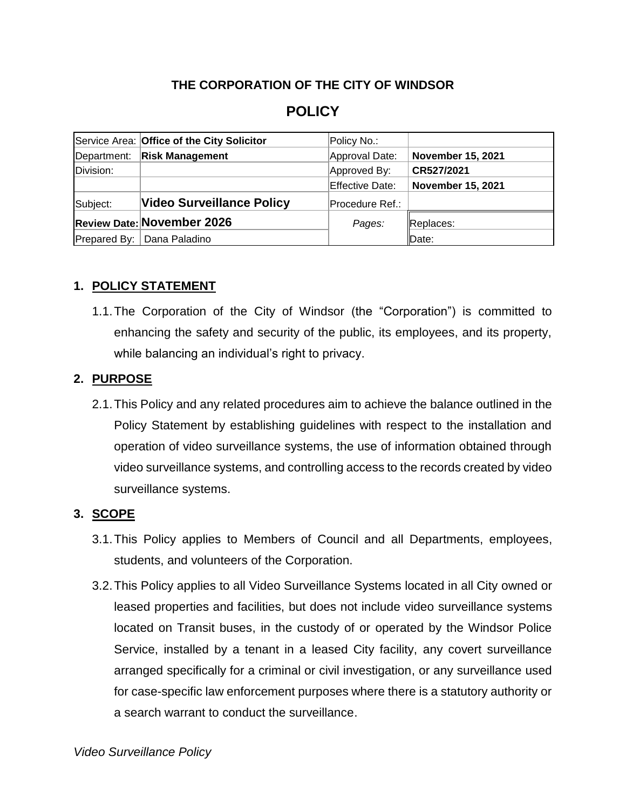## **THE CORPORATION OF THE CITY OF WINDSOR**

# **POLICY**

|             | Service Area: Office of the City Solicitor | Policy No.:     |                          |
|-------------|--------------------------------------------|-----------------|--------------------------|
| Department: | <b>Risk Management</b>                     | Approval Date:  | <b>November 15, 2021</b> |
| Division:   |                                            | Approved By:    | CR527/2021               |
|             |                                            | Effective Date: | <b>November 15, 2021</b> |
| Subject:    | <b>Video Surveillance Policy</b>           | Procedure Ref.: |                          |
|             | <b>Review Date: November 2026</b>          | Pages:          | Replaces:                |
|             | Prepared By:   Dana Paladino               |                 | Date:                    |

### **1. POLICY STATEMENT**

1.1.The Corporation of the City of Windsor (the "Corporation") is committed to enhancing the safety and security of the public, its employees, and its property, while balancing an individual's right to privacy.

### **2. PURPOSE**

2.1.This Policy and any related procedures aim to achieve the balance outlined in the Policy Statement by establishing guidelines with respect to the installation and operation of video surveillance systems, the use of information obtained through video surveillance systems, and controlling access to the records created by video surveillance systems.

## **3. SCOPE**

- 3.1.This Policy applies to Members of Council and all Departments, employees, students, and volunteers of the Corporation.
- 3.2.This Policy applies to all Video Surveillance Systems located in all City owned or leased properties and facilities, but does not include video surveillance systems located on Transit buses, in the custody of or operated by the Windsor Police Service, installed by a tenant in a leased City facility, any covert surveillance arranged specifically for a criminal or civil investigation, or any surveillance used for case-specific law enforcement purposes where there is a statutory authority or a search warrant to conduct the surveillance.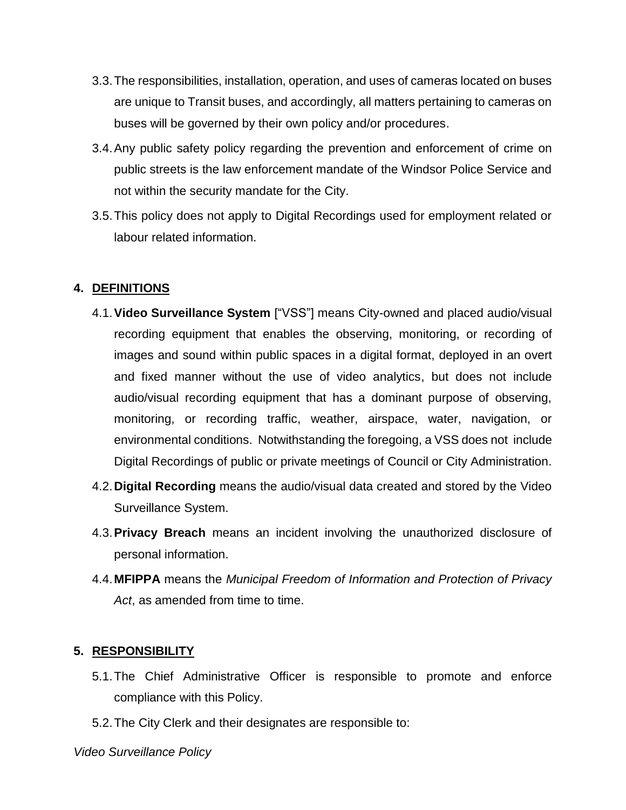- 3.3.The responsibilities, installation, operation, and uses of cameras located on buses are unique to Transit buses, and accordingly, all matters pertaining to cameras on buses will be governed by their own policy and/or procedures.
- 3.4.Any public safety policy regarding the prevention and enforcement of crime on public streets is the law enforcement mandate of the Windsor Police Service and not within the security mandate for the City.
- 3.5.This policy does not apply to Digital Recordings used for employment related or labour related information.

### **4. DEFINITIONS**

- 4.1.**Video Surveillance System** ["VSS"] means City-owned and placed audio/visual recording equipment that enables the observing, monitoring, or recording of images and sound within public spaces in a digital format, deployed in an overt and fixed manner without the use of video analytics, but does not include audio/visual recording equipment that has a dominant purpose of observing, monitoring, or recording traffic, weather, airspace, water, navigation, or environmental conditions. Notwithstanding the foregoing, a VSS does not include Digital Recordings of public or private meetings of Council or City Administration.
- 4.2.**Digital Recording** means the audio/visual data created and stored by the Video Surveillance System.
- 4.3.**Privacy Breach** means an incident involving the unauthorized disclosure of personal information.
- 4.4.**MFIPPA** means the *Municipal Freedom of Information and Protection of Privacy*  Act, as amended from time to time.

## **5. RESPONSIBILITY**

- 5.1.The Chief Administrative Officer is responsible to promote and enforce compliance with this Policy.
- 5.2.The City Clerk and their designates are responsible to: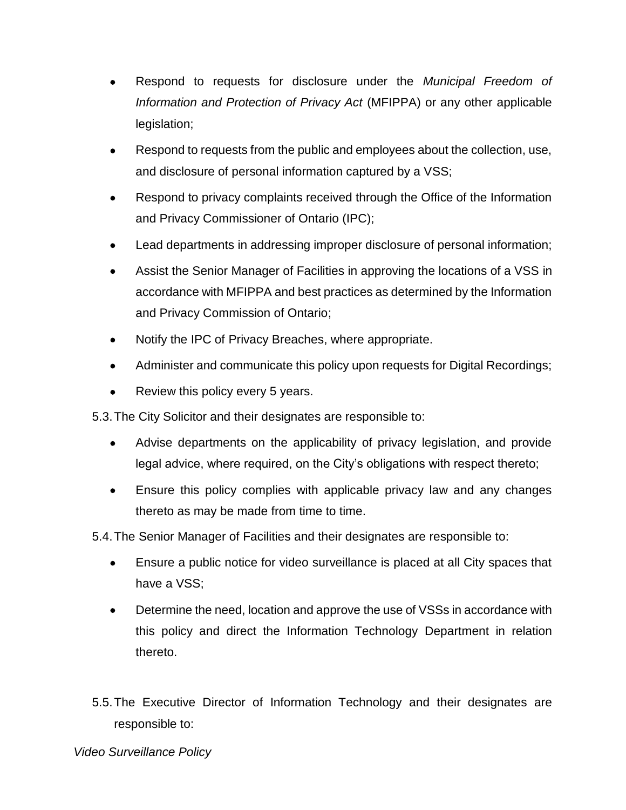- Respond to requests for disclosure under the *Municipal Freedom of Information and Protection of Privacy Act* (MFIPPA) or any other applicable legislation;
- Respond to requests from the public and employees about the collection, use, and disclosure of personal information captured by a VSS;
- Respond to privacy complaints received through the Office of the Information and Privacy Commissioner of Ontario (IPC);
- Lead departments in addressing improper disclosure of personal information;
- Assist the Senior Manager of Facilities in approving the locations of a VSS in accordance with MFIPPA and best practices as determined by the Information and Privacy Commission of Ontario;
- Notify the IPC of Privacy Breaches, where appropriate.
- Administer and communicate this policy upon requests for Digital Recordings;
- Review this policy every 5 years.

5.3.The City Solicitor and their designates are responsible to:

- Advise departments on the applicability of privacy legislation, and provide legal advice, where required, on the City's obligations with respect thereto;
- Ensure this policy complies with applicable privacy law and any changes thereto as may be made from time to time.

5.4.The Senior Manager of Facilities and their designates are responsible to:

- Ensure a public notice for video surveillance is placed at all City spaces that have a VSS;
- Determine the need, location and approve the use of VSSs in accordance with this policy and direct the Information Technology Department in relation thereto.
- 5.5.The Executive Director of Information Technology and their designates are responsible to: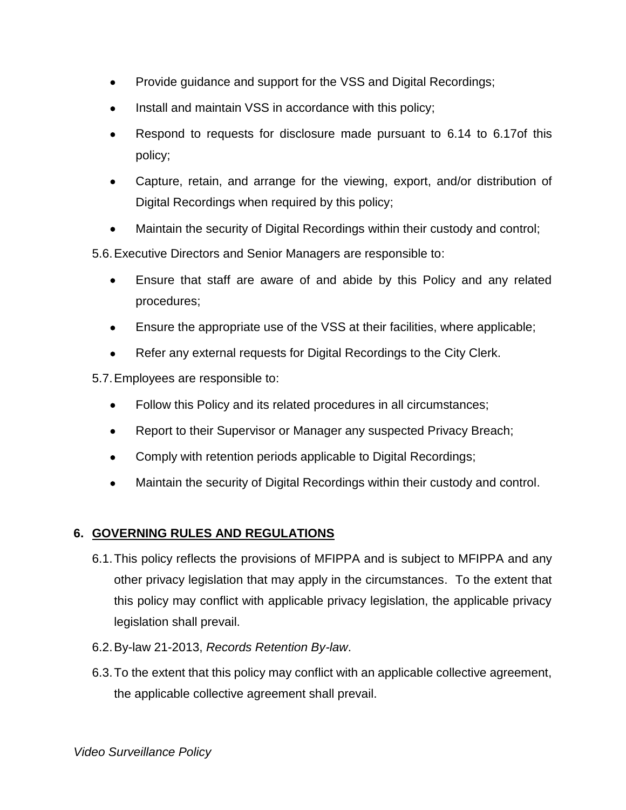- Provide guidance and support for the VSS and Digital Recordings;
- Install and maintain VSS in accordance with this policy;
- Respond to requests for disclosure made pursuant to [6.14](#page-6-0) to [6.17o](#page-6-1)f this policy;
- Capture, retain, and arrange for the viewing, export, and/or distribution of Digital Recordings when required by this policy;
- Maintain the security of Digital Recordings within their custody and control;

5.6.Executive Directors and Senior Managers are responsible to:

- Ensure that staff are aware of and abide by this Policy and any related procedures;
- Ensure the appropriate use of the VSS at their facilities, where applicable;
- Refer any external requests for Digital Recordings to the City Clerk.

5.7.Employees are responsible to:

- Follow this Policy and its related procedures in all circumstances;
- Report to their Supervisor or Manager any suspected Privacy Breach;
- Comply with retention periods applicable to Digital Recordings;
- Maintain the security of Digital Recordings within their custody and control.

## **6. GOVERNING RULES AND REGULATIONS**

- 6.1.This policy reflects the provisions of MFIPPA and is subject to MFIPPA and any other privacy legislation that may apply in the circumstances. To the extent that this policy may conflict with applicable privacy legislation, the applicable privacy legislation shall prevail.
- 6.2.By-law 21-2013, *Records Retention By-law*.
- 6.3.To the extent that this policy may conflict with an applicable collective agreement, the applicable collective agreement shall prevail.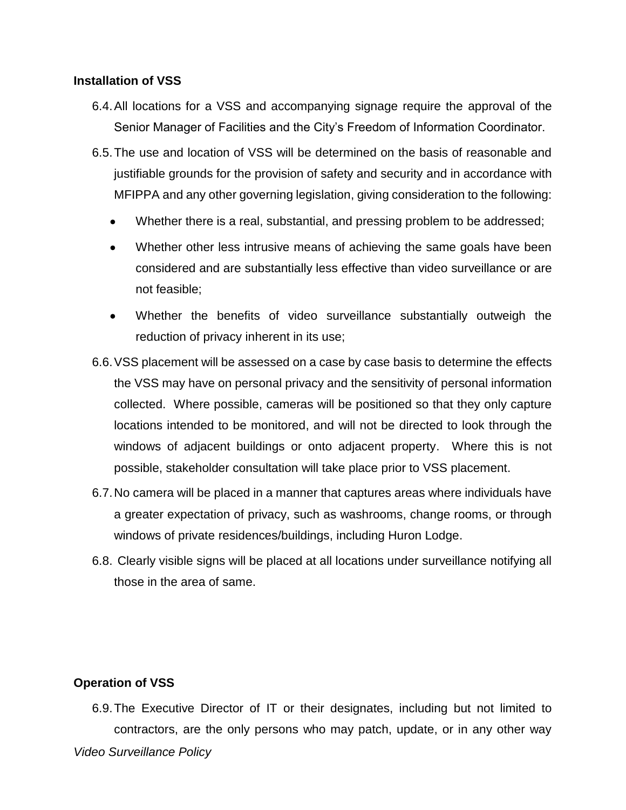### **Installation of VSS**

- 6.4.All locations for a VSS and accompanying signage require the approval of the Senior Manager of Facilities and the City's Freedom of Information Coordinator.
- 6.5.The use and location of VSS will be determined on the basis of reasonable and justifiable grounds for the provision of safety and security and in accordance with MFIPPA and any other governing legislation, giving consideration to the following:
	- Whether there is a real, substantial, and pressing problem to be addressed;
	- Whether other less intrusive means of achieving the same goals have been considered and are substantially less effective than video surveillance or are not feasible;
	- Whether the benefits of video surveillance substantially outweigh the reduction of privacy inherent in its use;
- 6.6.VSS placement will be assessed on a case by case basis to determine the effects the VSS may have on personal privacy and the sensitivity of personal information collected. Where possible, cameras will be positioned so that they only capture locations intended to be monitored, and will not be directed to look through the windows of adjacent buildings or onto adjacent property. Where this is not possible, stakeholder consultation will take place prior to VSS placement.
- 6.7.No camera will be placed in a manner that captures areas where individuals have a greater expectation of privacy, such as washrooms, change rooms, or through windows of private residences/buildings, including Huron Lodge.
- 6.8. Clearly visible signs will be placed at all locations under surveillance notifying all those in the area of same.

## **Operation of VSS**

*Video Surveillance Policy* 6.9.The Executive Director of IT or their designates, including but not limited to contractors, are the only persons who may patch, update, or in any other way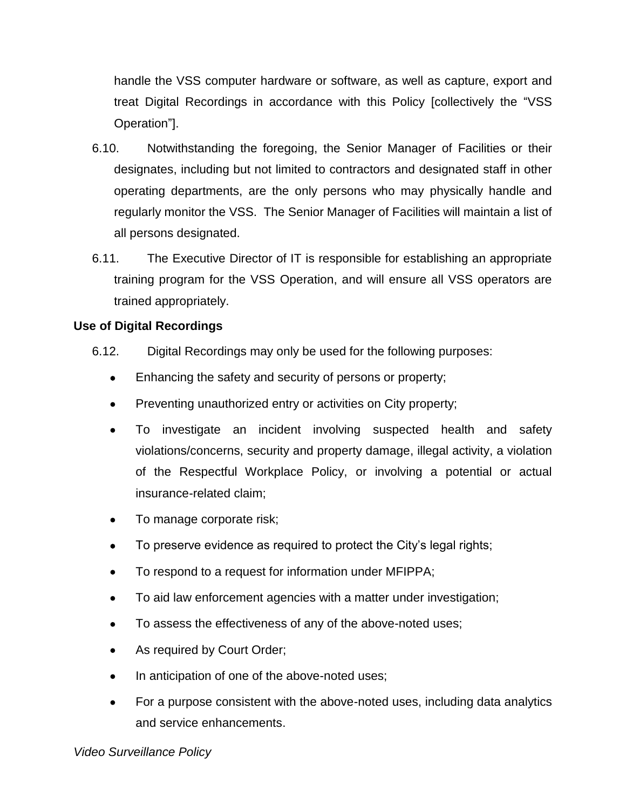handle the VSS computer hardware or software, as well as capture, export and treat Digital Recordings in accordance with this Policy [collectively the "VSS Operation"].

- 6.10. Notwithstanding the foregoing, the Senior Manager of Facilities or their designates, including but not limited to contractors and designated staff in other operating departments, are the only persons who may physically handle and regularly monitor the VSS. The Senior Manager of Facilities will maintain a list of all persons designated.
- 6.11. The Executive Director of IT is responsible for establishing an appropriate training program for the VSS Operation, and will ensure all VSS operators are trained appropriately.

## **Use of Digital Recordings**

- <span id="page-5-0"></span>6.12. Digital Recordings may only be used for the following purposes:
	- Enhancing the safety and security of persons or property;
	- Preventing unauthorized entry or activities on City property;
	- To investigate an incident involving suspected health and safety violations/concerns, security and property damage, illegal activity, a violation of the Respectful Workplace Policy, or involving a potential or actual insurance-related claim;
	- To manage corporate risk;
	- To preserve evidence as required to protect the City's legal rights;
	- To respond to a request for information under MFIPPA;
	- To aid law enforcement agencies with a matter under investigation;
	- To assess the effectiveness of any of the above-noted uses;
	- As required by Court Order;
	- In anticipation of one of the above-noted uses;
	- For a purpose consistent with the above-noted uses, including data analytics and service enhancements.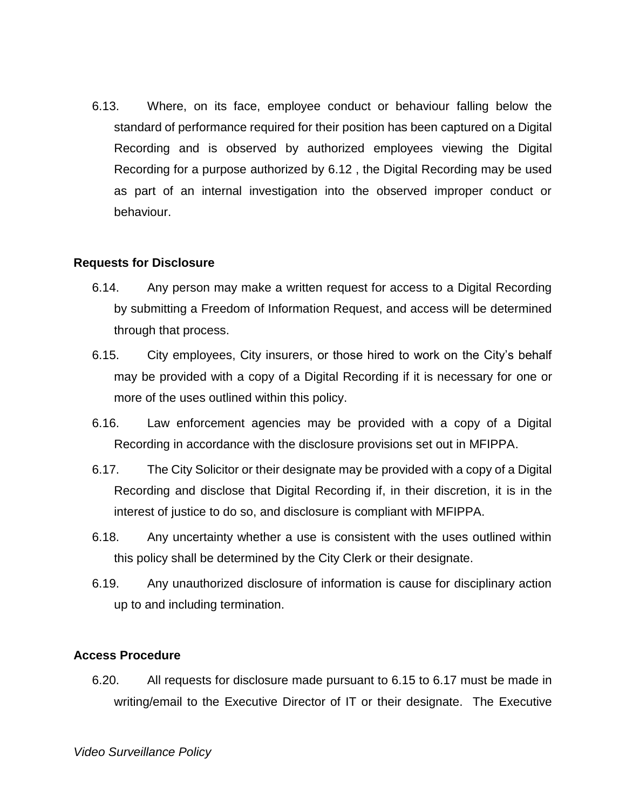6.13. Where, on its face, employee conduct or behaviour falling below the standard of performance required for their position has been captured on a Digital Recording and is observed by authorized employees viewing the Digital Recording for a purpose authorized by [6.12](#page-5-0) , the Digital Recording may be used as part of an internal investigation into the observed improper conduct or behaviour.

#### **Requests for Disclosure**

- <span id="page-6-0"></span>6.14. Any person may make a written request for access to a Digital Recording by submitting a Freedom of Information Request, and access will be determined through that process.
- <span id="page-6-2"></span>6.15. City employees, City insurers, or those hired to work on the City's behalf may be provided with a copy of a Digital Recording if it is necessary for one or more of the uses outlined within this policy.
- 6.16. Law enforcement agencies may be provided with a copy of a Digital Recording in accordance with the disclosure provisions set out in MFIPPA.
- <span id="page-6-1"></span>6.17. The City Solicitor or their designate may be provided with a copy of a Digital Recording and disclose that Digital Recording if, in their discretion, it is in the interest of justice to do so, and disclosure is compliant with MFIPPA.
- 6.18. Any uncertainty whether a use is consistent with the uses outlined within this policy shall be determined by the City Clerk or their designate.
- 6.19. Any unauthorized disclosure of information is cause for disciplinary action up to and including termination.

#### **Access Procedure**

6.20. All requests for disclosure made pursuant to [6.15](#page-6-2) to [6.17](#page-6-1) must be made in writing/email to the Executive Director of IT or their designate. The Executive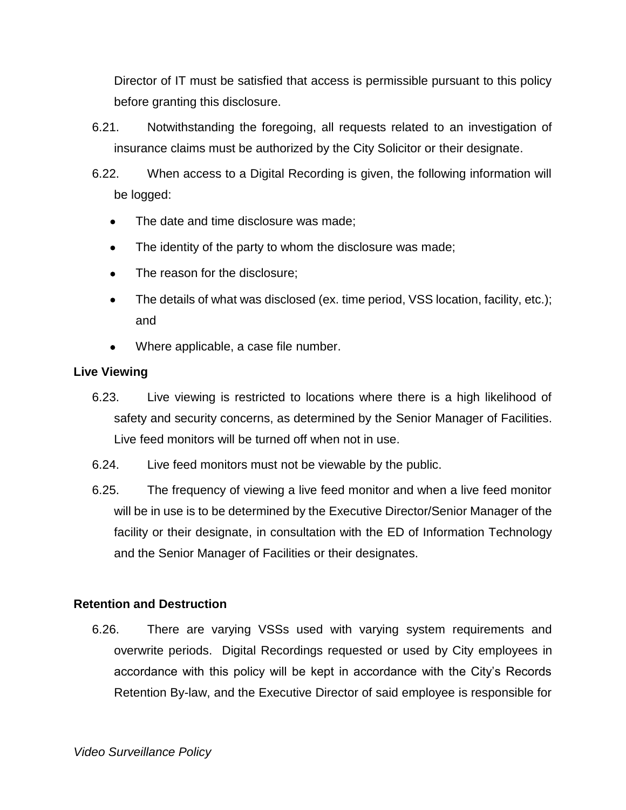Director of IT must be satisfied that access is permissible pursuant to this policy before granting this disclosure.

6.21. Notwithstanding the foregoing, all requests related to an investigation of insurance claims must be authorized by the City Solicitor or their designate.

6.22. When access to a Digital Recording is given, the following information will be logged:

- The date and time disclosure was made;
- The identity of the party to whom the disclosure was made;
- The reason for the disclosure;
- The details of what was disclosed (ex. time period, VSS location, facility, etc.); and
- Where applicable, a case file number.

### **Live Viewing**

- 6.23. Live viewing is restricted to locations where there is a high likelihood of safety and security concerns, as determined by the Senior Manager of Facilities. Live feed monitors will be turned off when not in use.
- 6.24. Live feed monitors must not be viewable by the public.
- 6.25. The frequency of viewing a live feed monitor and when a live feed monitor will be in use is to be determined by the Executive Director/Senior Manager of the facility or their designate, in consultation with the ED of Information Technology and the Senior Manager of Facilities or their designates.

## **Retention and Destruction**

6.26. There are varying VSSs used with varying system requirements and overwrite periods. Digital Recordings requested or used by City employees in accordance with this policy will be kept in accordance with the City's Records Retention By-law, and the Executive Director of said employee is responsible for